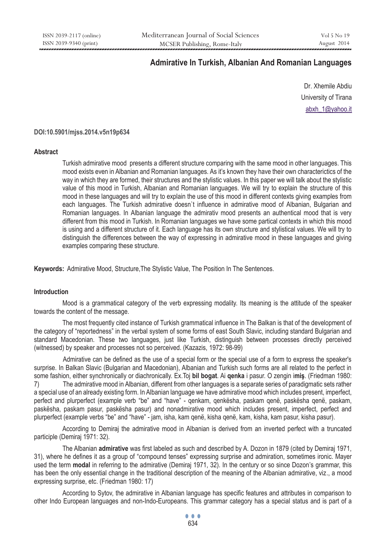# **Admirative In Turkish, Albanian And Romanian Languages**

Dr. Xhemile Abdiu University of Tirana abxh\_1@yahoo.it

# **DOI:10.5901/mjss.2014.v5n19p634**

## **Abstract**

Turkish admirative mood presents a different structure comparing with the same mood in other languages. This mood exists even in Albanian and Romanian languages. As it's known they have their own characterictics of the way in which they are formed, their structures and the stylistic values. In this paper we will talk about the stylistic value of this mood in Turkish, Albanian and Romanian languages. We will try to explain the structure of this mood in these languages and will try to explain the use of this mood in different contexts giving examples from each languages. The Turkish admirative doesn't influence in admirative mood of Albanian, Bulgarian and Romanian languages. In Albanian language the admirativ mood presents an authentical mood that is very different from this mood in Turkish. In Romanian languages we have some partical contexts in which this mood is using and a different structure of it. Each language has its own structure and stylistical values. We will try to distinguish the differences between the way of expressing in admirative mood in these languages and giving examples comparing these structure.

**Keywords:** Admirative Mood, Structure,The Stylistic Value, The Position In The Sentences.

# **Introduction**

Mood is a grammatical category of the verb expressing modality. Its meaning is the attitude of the speaker towards the content of the message.

The most frequently cited instance of Turkish grammatical influence in The Balkan is that of the development of the category of "reportedness" in the verbal system of some forms of east South Slavic, including standard Bulgarian and standard Macedonian. These two languages, just like Turkish, distinguish between processes directly perceived (witnessed) by speaker and processes not so perceived. (Kazazis, 1972: 98-99)

 Admirative can be defined as the use of a special form or the special use of a form to express the speaker's surprise. In Balkan Slavic (Bulgarian and Macedonian), Albanian and Turkish such forms are all related to the perfect in some fashion, either synchronically or diachronically. Ex.Toj **bil bogat**. Ai **qenka** i pasur. O zengin i**miş**. (Friedman 1980: 7) The admirative mood in Albanian, different from other languages is a separate series of paradigmatic sets rather a special use of an already existing form. In Albanian language we have admirative mood which includes present, imperfect, perfect and plurperfect (example verb "be" and "have" - qenkam, qenkësha, paskam qenë, paskësha qenë, paskam, paskësha, paskam pasur, paskësha pasur) and nonadmirative mood which includes present, imperfect, perfect and plurperfect (example verbs "be" and "have" - jam, isha, kam qenë, kisha qenë, kam, kisha, kam pasur, kisha pasur).

According to Demiraj the admirative mood in Albanian is derived from an inverted perfect with a truncated participle (Demiraj 1971: 32).

The Albanian **admirative** was first labeled as such and described by A. Dozon in 1879 (cited by Demiraj 1971, 31), where he defines it as a group of "compound tenses" expressing surprise and admiration, sometimes ironic. Mayer used the term **modal** in referring to the admirative (Demiraj 1971, 32). In the century or so since Dozon's grammar, this has been the only essential change in the traditional description of the meaning of the Albanian admirative, viz., a mood expressing surprise, etc. (Friedman 1980: 17)

According to Sytov, the admirative in Albanian language has specific features and attributes in comparison to other Indo European languages and non-Indo-Europeans. This grammar category has a special status and is part of a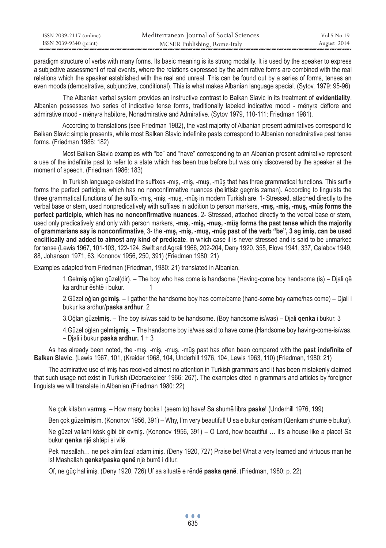| ISSN 2039-2117 (online) | Mediterranean Journal of Social Sciences | Vol 5 No 19 |
|-------------------------|------------------------------------------|-------------|
| ISSN 2039-9340 (print)  | MCSER Publishing, Rome-Italy             | August 2014 |

paradigm structure of verbs with many forms. Its basic meaning is its strong modality. It is used by the speaker to express a subjective assessment of real events, where the relations expressed by the admirative forms are combined with the real relations which the speaker established with the real and unreal. This can be found out by a series of forms, tenses an even moods (demostrative, subjunctive, conditional). This is what makes Albanian language special. (Sytov, 1979: 95-96)

 The Albanian verbal system provides an instructive contrast to Balkan Slavic in its treatment of **evidentiality**. Albanian possesses two series of indicative tense forms, traditionally labeled indicative mood - mënyra dëftore and admirative mood - mënyra habitore, Nonadmirative and Admirative. (Sytov 1979, 110-111; Friedman 1981).

According to translations (see Friedman 1982), the vast majority of Albanian present admiratives correspond to Balkan Slavic simple presents, while most Balkan Slavic indefinite pasts correspond to Albanian nonadmirative past tense forms. (Friedman 1986: 182)

Most Balkan Slavic examples with "be" and "have" corresponding to an Albanian present admirative represent a use of the indefinite past to refer to a state which has been true before but was only discovered by the speaker at the moment of speech. (Friedman 1986: 183)

In Turkish language existed the suffixes -mış, -miş, -muş, -müş that has three grammatical functions. This suffix forms the perfect participle, which has no nonconfirmative nuances (belirtisiz geçmis zaman). According to linguists the three grammatical functions of the suffix -mış, -miş, -muş, -müş in modern Turkish are. 1- Stressed, attached directly to the verbal base or stem, used nonpredicatively with suffixes in addition to person markers, **-mış, -miş, -muş, -müş forms the perfect participle, which has no nonconfirmative nuances**. 2- Stressed, attached directly to the verbal base or stem, used only predicatively and only with person markers, **-mış, -miş, -muş, -müş forms the past tense which the majority of grammarians say is nonconfirmative**, 3- the **-mış, -miş, -muş, -müş past of the verb "be", 3 sg imiş, can be used enclitically and added to almost any kind of predicate**, in which case it is never stressed and is said to be unmarked for tense (Lewis 1967, 101-103, 122-124, Swift and Agrali 1966, 202-204, Deny 1920, 355, Elove 1941, 337, Calabov 1949, 88, Johanson 1971, 63, Kononov 1956, 250, 391) (Friedman 1980: 21)

Examples adapted from Friedman (Friedman, 1980: 21) translated in Albanian.

1.Gel**miş** oğlan güzel(dir). – The boy who has come is handsome (Having-come boy handsome (is) – Djali që ka ardhur është i bukur. 1

2.Güzel oğlan gel**miş**. – I gather the handsome boy has come/came (hand-some boy came/has come) – Djali i bukur ka ardhur/**paska ardhur**. 2

3.Oğlan güzel**miş**. – The boy is/was said to be handsome. (Boy handsome is/was) – Djali **qenka** i bukur. 3

4.Güzel oğlan gel**mişmiş**. – The handsome boy is/was said to have come (Handsome boy having-come-is/was. – Djali i bukur **paska ardhur.** 1 + 3

As has already been noted, the -mış, -miş, -muş, -müş past has often been compared with the **past indefinite of Balkan Slavic**. (Lewis 1967, 101, (Kreider 1968, 104, Underhill 1976, 104, Lewis 1963, 110) (Friedman, 1980: 21)

The admirative use of imiş has received almost no attention in Turkish grammars and it has been mistakenly claimed that such usage not exist in Turkish (Debraekeleer 1966: 267). The examples cited in grammars and articles by foreigner linguists we will translate in Albanian (Friedman 1980: 22)

Ne çok kitabın var**mış**. – How many books I (seem to) have! Sa shumë libra **paske**! (Underhill 1976, 199)

Ben çok güzel**miş**im. (Kononov 1956, 391) – Why, I'm very beautiful! U sa e bukur qenkam (Qenkam shumë e bukur).

Ne güzel vallahi kösk gibi bir evmiş. (Kononov 1956, 391) – O Lord, how beautiful … it's a house like a place! Sa bukur **qenka** një shtëpi si vilë.

Pek masallah… ne pek alim fazıl adam imiş. (Deny 1920, 727) Praise be! What a very learned and virtuous man he is! Mashallah **qenka/paska qenë** një burrë i ditur.

Of, ne güç hal imiş. (Deny 1920, 726) Uf sa situatë e rëndë **paska qenë**. (Friedman, 1980: p. 22)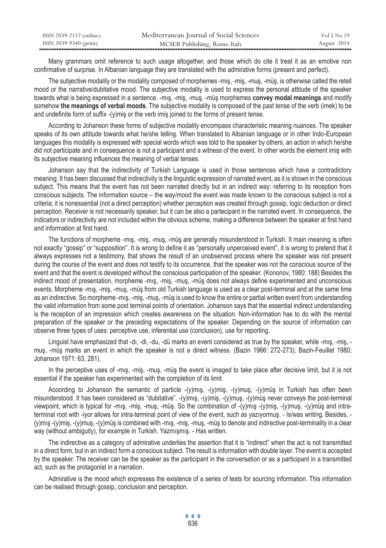| ISSN 2039-2117 (online) | Mediterranean Journal of Social Sciences | Vol 5 No 19 |
|-------------------------|------------------------------------------|-------------|
| ISSN 2039-9340 (print)  | MCSER Publishing, Rome-Italy             | August 2014 |

Many grammars omit reference to such usage altogether, and those which do cite it treat it as an emotive non confirmative of surprise. In Albanian language they are translated with the admirative forms (present and perfect).

The subjective modality or the modality composed of morphemes -mış, -miş, -muş, -müş, is otherwise called the retell mood or the narrative/dubitative mood. The subjective modality is used to express the personal attitude of the speaker towards what is being expressed in a sentence. -mış, -miş, -muş, -müş morphemes **convey modal meanings** and modify somehow **the meanings of verbal moods**. The subjective modality is composed of the past tense of the verb (imek) to be and undefinite form of suffix -(y)mis or the verb imis joined to the forms of present tense.

According to Johanson these forms of subjective modality encompass characteristic meaning nuances. The speaker speaks of its own attitude towards what he/she telling. When translated to Albanian language or in other Indo-European languages this modality is expressed with special words which was told to the speaker by others, an action in which he/she did not participate and in consequence is not a participant and a witness of the event. In other words the element imiş with its subjective meaning influences the meaning of verbal tenses.

Johanson say that the indirectivity of Turkish Language is used in those sentences which have a contradictory meaning. It has been discussed that indirectivity is the linguistic expression of narrated event, as it is shown in the conscious subject. This means that the event has not been narrated directly but in an indirect way: referring to its reception from conscious subjects. The information source – the way/mood the event was made known to the conscious subject is not a criteria; it is nonessential (not a direct perception) whether perception was created through gossip, logic deduction or direct perception. Receiver is not necessarily speaker, but it can be also a partecipant in the narrated event. In consequence, the indicators or indirectivity are not included within the obvious scheme, making a difference between the speaker at first hand and information at first hand.

The functions of morpheme -mış, -miş, -muş, -müş are generally misunderstood in Turkish. It main meaning is often not exactly "gossip" or "supposition". It is wrong to define it as "personally unperceived event", it is wrong to pretend that it always expresses not a testimony, that shows the result of an unobserved process where the speaker was not present during the course of the event and does not testify to its occurrence, that the speaker was not the conscious source of the event and that the event is developed without the conscious participation of the speaker. (Kononov, 1980: 188) Besides the indirect mood of presentation, morpheme -mış, -miş, -muş, -müş does not always define experimented and unconscious events. Morpheme -mış, -miş, -muş, -müş from old Turkish language is used as a clear post-terminal and at the same time as an indirective. So morpheme -mış, -miş, -muş, -müş is used to know the entire or partial written event from understanding the valid information from some post terminal points of orientation. Johanson says that the essential indirect understanding is the reception of an impression which creates awareness on the situation. Non-information has to do with the mental preparation of the speaker or the preceding expectations of the speaker. Depending on the source of information can observe three types of uses: perceptive use, inferential use (conclusion), use for reporting.

Linguist have emphasized that -dı, -di, -du, -dü marks an event considered as true by the speaker, while -mış, -miş, muş, -müş marks an event in which the speaker is not a direct witness. (Bazin 1966: 272-273); Bazin-Feuillet 1980; Johanson 1971: 63, 281).

In the perceptive uses of -mış, -miş, -muş, -müş the event is imaged to take place after decisive limit, but it is not essential if the speaker has experimented with the completion of its limit.

Acoording to Johanson the semantic of particle -(y)mış, -(y)miş, -(y)muş, -(y)müş in Turkish has often been misunderstood. It has been considered as "dubitative". -(y)mış, -(y)miş, -(y)muş, -(y)müş never conveys the post-terminal viewpoint, which is typical for -mış, -miş, -muş, -müş. So the combination of -(y)mış -(y)miş, -(y)muş, -(y)müş and intraterminal root with -iyor allows for intra-terminal point of view of the event, such as yazıyormuş. - Is/was writing. Besides, - (y)mış -(y)miş, -(y)muş, -(y)müş is combined with -mış, -miş, -muş, -müş to denote and indirective post-terminality in a clear way (without ambiguity), for example in Turkish. Yazmışmış. - Has written.

The indirective as a category of admirative underlies the assertion that it is "indirect" when the act is not transmitted in a direct form, but in an indirect form a conscious subject. The result is information with double layer. The event is accepted by the speaker. The receiver can be the speaker as the participant in the conversation or as a participant in a transmitted act, such as the protagonist in a narration.

Admirative is the mood which expresses the existence of a series of tests for sourcing information. This information can be realised through gossip, conclusion and perception.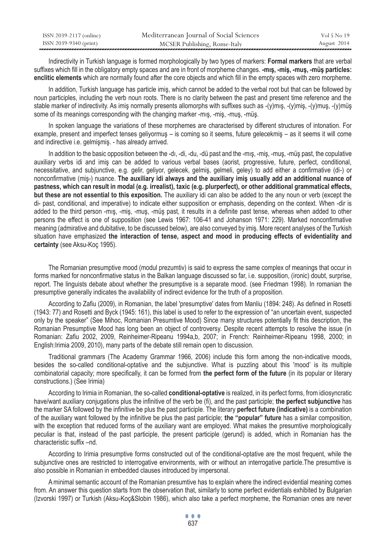| ISSN 2039-2117 (online) | Mediterranean Journal of Social Sciences | Vol 5 No 19 |
|-------------------------|------------------------------------------|-------------|
| ISSN 2039-9340 (print)  | MCSER Publishing, Rome-Italy             | August 2014 |

Indirectivity in Turkish language is formed morphologically by two types of markers: **Formal markers** that are verbal suffixes which fill in the obligatory empty spaces and are in front of morpheme changes. **-mış, -miş, -muş, -müş particles: enclitic elements** which are normally found after the core objects and which fill in the empty spaces with zero morpheme.

In addition, Turkish language has particle imiş, which cannot be added to the verbal root but that can be followed by noun participles, including the verb noun roots. There is no clarity between the past and present time reference and the stable marker of indirectivity. As imiş normally presents allomorphs with suffixes such as -(y)mış, -(y)miş, -(y)muş, -(y)müş some of its meanings corresponding with the changing marker -mış, -miş, -muş, -müş.

In spoken language the variations of these morphemes are characterised by different structures of intonation. For example, present and imperfect tenses geliyormuş – is coming so it seems, future gelecekmiş – as it seems it will come and indirective i.e. gelmişmiş. - has already arrived.

In addition to the basic opposition between the -dı, -di, -du, -dü past and the -mış, -miş, -muş, -müş past, the copulative auxiliary verbs idi and imiş can be added to various verbal bases (aorist, progressive, future, perfect, conditional, necessitative, and subjunctive, e.g. gelir, geliyor, gelecek, gelmiş, gelmeli, geley) to add either a confirmative (di-) or nonconfirmative (miş-) nuance. **The auxiliary idi always and the auxiliary imiş usually add an additional nuance of pastness, which can result in modal (e.g. irrealist), taxic (e.g. plurperfect), or other additional grammatical effects, but these are not essential to this exposition.** The auxiliary idi can also be added to the any noun or verb (except the di- past, conditional, and imperative) to indicate either supposition or emphasis, depending on the context. When -dir is added to the third person -mış, -miş, -muş, -müş past, it results in a definite past tense, whereas when added to other persons the effect is one of supposition (see Lewis 1967: 106-41 and Johanson 1971: 229). Marked nonconfirmative meaning (admirative and dubitative, to be discussed below), are also conveyed by imiş. More recent analyses of the Turkish situation have emphasized **the interaction of tense, aspect and mood in producing effects of evidentiality and certainty** (see Aksu-Koç 1995).

The Romanian presumptive mood (modul prezumtiv) is said to express the same complex of meanings that occur in forms marked for nonconfirmative status in the Balkan language discussed so far, i.e. supposition, (ironic) doubt, surprise, report. The linguists debate about whether the presumptive is a separate mood. (see Friedman 1998). In romanian the presumptive generally indicates the availability of indirect evidence for the truth of a proposition.

According to Zafiu (2009), in Romanian, the label 'presumptive' dates from Manliu (1894: 248). As defined in Rosetti (1943: 77) and Rosetti and Byck (1945: 161), this label is used to refer to the expression of "an uncertain event, suspected only by the speaker" (See Mihoc, Romanian Presumtive Mood) Since many structures potentially fit this description, the Romanian Presumptive Mood has long been an object of controversy. Despite recent attempts to resolve the issue (in Romanian: Zafiu 2002, 2009, Reinheimer-Ripeanu 1994a,b, 2007; in French: Reinheimer-Ripeanu 1998, 2000; in English:Irimia 2009, 2010), many parts of the debate still remain open to discussion.

Traditional grammars (The Academy Grammar 1966, 2006) include this form among the non-indicative moods, besides the so-called conditional-optative and the subjunctive. What is puzzling about this 'mood' is its multiple combinatorial capacity; more specifically, it can be formed from **the perfect form of the future** (in its popular or literary constructions.) (See Irimia)

According to Irimia in Romanian, the so-called **conditional-optative** is realized, in its perfect forms, from idiosyncratic have/want auxiliary conjugations plus the infinitive of the verb be (fi), and the past participle; **the perfect subjunctive** has the marker SA followed by the infinitive be plus the past participle. The literary **perfect future (indicative)** is a combination of the auxiliary want followed by the infinitive be plus the past participle; **the "popular" future** has a similar composition, with the exception that reduced forms of the auxiliary want are employed. What makes the presumtive morphologically peculiar is that, instead of the past participle, the present participle (gerund) is added, which in Romanian has the characteristic suffix –nd.

According to Irimia presumptive forms constructed out of the conditional-optative are the most frequent, while the subjunctive ones are restricted to interrogative environments, with or without an interrogative particle.The presumtive is also possible in Romanian in embedded clauses introduced by impersonal.

A minimal semantic account of the Romanian presumtive has to explain where the indirect evidential meaning comes from. An answer this question starts from the observation that, similarly to some perfect evidentials exhibited by Bulgarian (Izvorski 1997) or Turkish (Aksu-Koç&Slobin 1986), which also take a perfect morpheme, the Romanian ones are never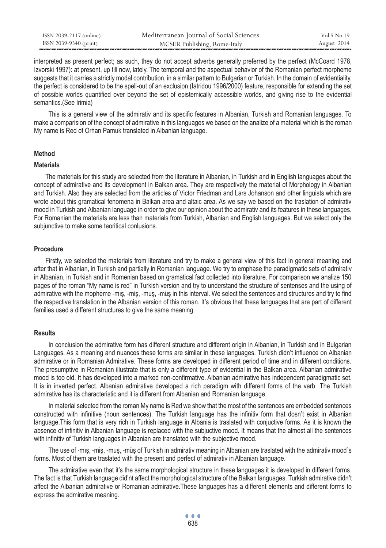| ISSN 2039-2117 (online) | Mediterranean Journal of Social Sciences | Vol 5 No 19 |
|-------------------------|------------------------------------------|-------------|
| ISSN 2039-9340 (print)  | MCSER Publishing, Rome-Italy             | August 2014 |

interpreted as present perfect; as such, they do not accept adverbs generally preferred by the perfect (McCoard 1978, Izvorski 1997): at present, up till now, lately. The temporal and the aspectual behavior of the Romanian perfect morpheme suggests that it carries a strictly modal contribution, in a similar pattern to Bulgarian or Turkish. In the domain of evidentiality, the perfect is considered to be the spell-out of an exclusion (Iatridou 1996/2000) feature, responsible for extending the set of possible worlds quantified over beyond the set of epistemically accessible worlds, and giving rise to the evidential semantics.(See Irimia)

This is a general view of the admirativ and its specific features in Albanian, Turkish and Romanian languages. To make a comparision of the concept of admirative in this languages we based on the analize of a material which is the roman My name is Red of Orhan Pamuk translated in Albanian language.

## **Method**

### **Materials**

The materials for this study are selected from the literature in Albanian, in Turkish and in English languages about the concept of admirative and its development in Balkan area. They are respectively the material of Morphology in Albanian and Turkish. Also they are selected from the articles of Victor Friedman and Lars Johanson and other linguists which are wrote about this gramatical fenomena in Balkan area and altaic area. As we say we based on the traslation of admirativ mood in Turkish and Albanian language in order to give our opinion about the admirativ and its features in these languages. For Romanian the materials are less than materials from Turkish, Albanian and English languages. But we select only the subjunctive to make some teoritical conlusions.

## **Procedure**

Firstly, we selected the materials from literature and try to make a general view of this fact in general meaning and after that in Albanian, in Turkish and partially in Romanian language. We try to emphase the paradigmatic sets of admirativ in Albanian, in Turkish and in Romenian based on gramatical fact collected into literature. For comparison we analize 150 pages of the roman "My name is red" in Turkish version and try to understand the structure of sentenses and the using of admirative with the mopheme -mış, -miş, -muş, -müş in this interval. We select the sentences and structures and try to find the respective translation in the Albanian version of this roman. It's obvious that these languages that are part of different families used a different structures to give the same meaning.

#### **Results**

In conclusion the admirative form has different structure and different origin in Albanian, in Turkish and in Bulgarian Languages. As a meaning and nuances these forms are similar in these languages. Turkish didn't influence on Albanian admirative or in Romanian Admirative. These forms are developed in different period of time and in different conditions. The presumptive in Romanian illustrate that is only a different type of evidential in the Balkan area. Albanian admirative mood is too old. It has developed into a marked non-confirmative. Albanian admirative has independent paradigmatic set. It is in inverted perfect. Albanian admirative developed a rich paradigm with different forms of the verb. The Turkish admirative has its characteristic and it is different from Albanian and Romanian language.

In material selected from the roman My name is Red we show that the most of the sentences are embedded sentences constructed with infinitive (noun sentences). The Turkish language has the infinitiv form that dosn't exist in Albanian language.This form that is very rich in Turkish language in Albania is traslated with conjuctive forms. As it is known the absence of infinitiv in Albanian language is replaced with the subjuctive mood. It means that the almost all the sentences with infinitiv of Turkish languages in Albanian are translated with the subjective mood.

The use of -mış, -miş, -muş, -müş of Turkish in admirativ meaning in Albanian are traslated with the admirativ mood`s forms. Most of them are traslated with the present and perfect of admirativ in Albanian language.

The admirative even that it's the same morphological structure in these languages it is developed in different forms. The fact is that Turkish language did'nt affect the morphological structure of the Balkan languages. Turkish admirative didn't affect the Albanian admirative or Romanian admirative.These languages has a different elements and different forms to express the admirative meaning.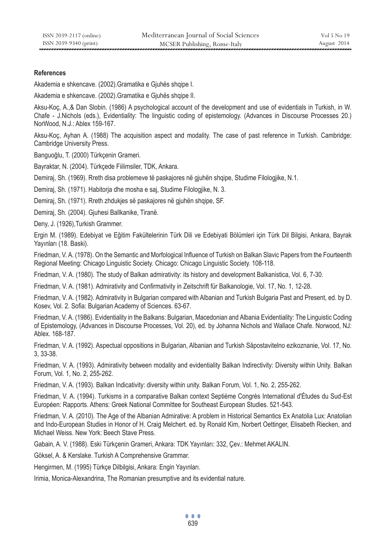# **References**

Akademia e shkencave. (2002).Gramatika e Gjuhës shqipe I.

Akademia e shkencave. (2002).Gramatika e Gjuhës shqipe II.

Aksu-Koç, A.,& Dan Slobin. (1986) A psychological account of the development and use of evidentials in Turkish, in W. Chafe - J.Nichols (eds.), Evidentiality: The linguistic coding of epistemology. (Advances in Discourse Processes 20.) NorWood, N.J.: Ablex 159-167.

Aksu-Koç, Ayhan A. (1988) The acquisition aspect and modality. The case of past reference in Turkish. Cambridge: Cambridge University Press.

Banguoğlu, T. (2000) Türkçenin Grameri.

Bayraktar, N. (2004). Türkçede Fiilimsiler, TDK, Ankara.

Demiraj, Sh. (1969). Rreth disa problemeve të paskajores në gjuhën shqipe, Studime Filologjike, N.1.

Demiraj, Sh. (1971). Habitorja dhe mosha e saj, Studime Filologjike, N. 3.

Demiraj, Sh. (1971). Rreth zhdukjes së paskajores në gjuhën shqipe, SF.

Demiraj, Sh. (2004). Gjuhesi Ballkanike, Tiranë.

Deny, J. (1926),Turkish Grammer.

Ergin M. (1989). Edebiyat ve Eğitim Fakültelerinin Türk Dili ve Edebiyati Bölümleri için Türk Dil Bilgisi, Ankara, Bayrak Yayınları (18. Baski).

Friedman, V. A. (1978). On the Semantic and Morfological Influence of Turkish on Balkan Slavic Papers from the Fourteenth Regional Meeting: Chicago Linguistic Society. Chicago: Chicago Linguistic Society. 108-118.

Friedman, V. A. (1980). The study of Balkan admirativity: its history and development Balkanistica, Vol. 6, 7-30.

Friedman, V. A. (1981). Admirativity and Confirmativity in Zeitschrift für Balkanologie, Vol. 17, No. 1, 12-28.

Friedman, V. A. (1982). Admirativity in Bulgarian compared with Albanian and Turkish Bulgaria Past and Present, ed. by D. Kosev, Vol. 2. Sofia: Bulgarian Academy of Sciences. 63-67.

Friedman, V. A. (1986). Evidentiality in the Balkans: Bulgarian, Macedonian and Albania Evidentiality: The Linguistic Coding of Epistemology, (Advances in Discourse Processes, Vol. 20), ed. by Johanna Nichols and Wallace Chafe. Norwood, NJ: Ablex. 168-187.

Friedman, V. A. (1992). Aspectual oppositions in Bulgarian, Albanian and Turkish Săpostavitelno ezikoznanie, Vol. 17, No. 3, 33-38.

Friedman, V. A. (1993). Admirativity between modality and evidentiality Balkan Indirectivity: Diversity within Unity. Balkan Forum, Vol. 1, No. 2, 255-262.

Friedman, V. A. (1993). Balkan Indicativity: diversity within unity. Balkan Forum, Vol. 1, No. 2, 255-262.

Friedman, V. A. (1994). Turkisms in a comparative Balkan context Septième Congrès International d'Études du Sud-Est Européen: Rapports. Athens: Greek National Committee for Southeast European Studies. 521-543.

Friedman, V. A. (2010). The Age of the Albanian Admirative: A problem in Historical Semantics Ex Anatolia Lux: Anatolian and Indo-European Studies in Honor of H. Craig Melchert. ed. by Ronald Kim, Norbert Oettinger, Elisabeth Riecken, and Michael Weiss. New York: Beech Stave Press.

Gabain, A. V. (1988). Eski Türkçenin Grameri, Ankara: TDK Yayınları: 332, Çev.: Mehmet AKALIN.

Göksel, A. & Kerslake. Turkish A Comprehensive Grammar.

Hengirmen, M. (1995) Türkçe Dilbilgisi, Ankara: Engin Yayınları.

Irimia, Monica-Alexandrina, The Romanian presumptive and its evidential nature.